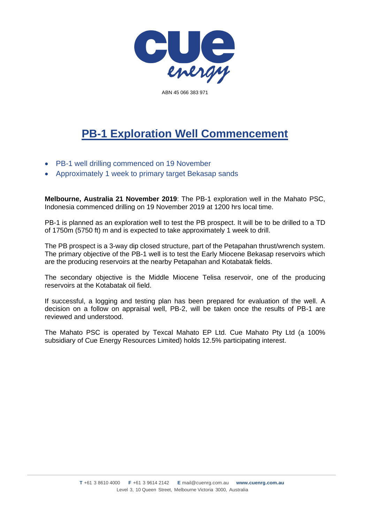

ABN 45 066 383 971

## **PB-1 Exploration Well Commencement**

- PB-1 well drilling commenced on 19 November
- Approximately 1 week to primary target Bekasap sands

**Melbourne, Australia 21 November 2019**: The PB-1 exploration well in the Mahato PSC, Indonesia commenced drilling on 19 November 2019 at 1200 hrs local time.

PB-1 is planned as an exploration well to test the PB prospect. It will be to be drilled to a TD of 1750m (5750 ft) m and is expected to take approximately 1 week to drill.

The PB prospect is a 3-way dip closed structure, part of the Petapahan thrust/wrench system. The primary objective of the PB-1 well is to test the Early Miocene Bekasap reservoirs which are the producing reservoirs at the nearby Petapahan and Kotabatak fields.

The secondary objective is the Middle Miocene Telisa reservoir, one of the producing reservoirs at the Kotabatak oil field.

If successful, a logging and testing plan has been prepared for evaluation of the well. A decision on a follow on appraisal well, PB-2, will be taken once the results of PB-1 are reviewed and understood.

The Mahato PSC is operated by Texcal Mahato EP Ltd. Cue Mahato Pty Ltd (a 100% subsidiary of Cue Energy Resources Limited) holds 12.5% participating interest.